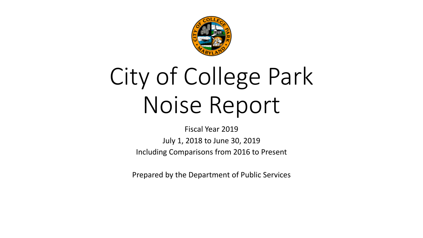

# City of College Park Noise Report

Fiscal Year 2019 July 1, 2018 to June 30, 2019 Including Comparisons from 2016 to Present

Prepared by the Department of Public Services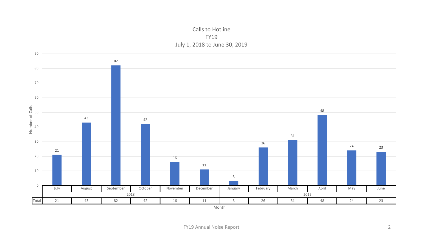

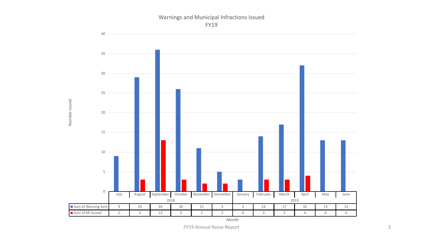#### Warnings and Municipal Infractions Issued FY19

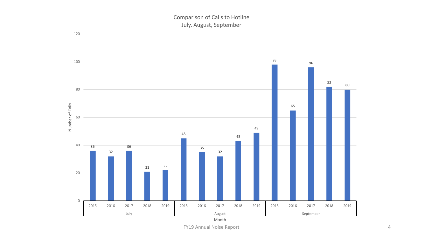# Comparison of Calls to Hotline July, August, September

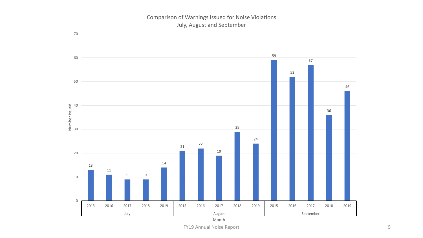# Comparison of Warnings Issued for Noise Violations July, August and September

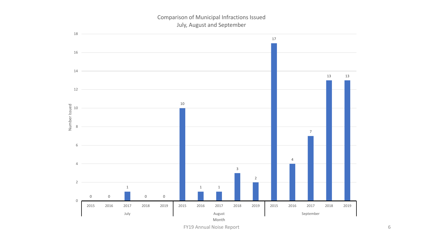# Comparison of Municipal Infractions Issued July, August and September

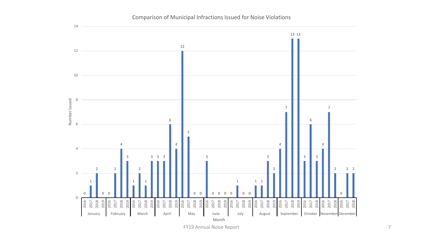

Comparison of Municipal Infractions Issued for Noise Violations

FY19 Annual Noise Report 7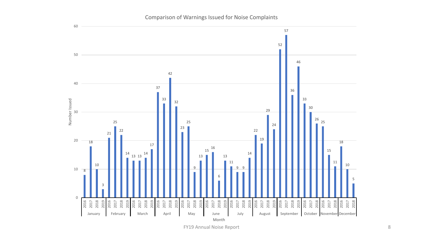



FY19 Annual Noise Report 8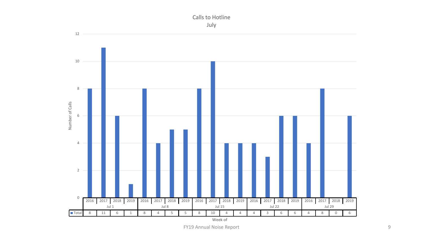

FY19 Annual Noise Report 9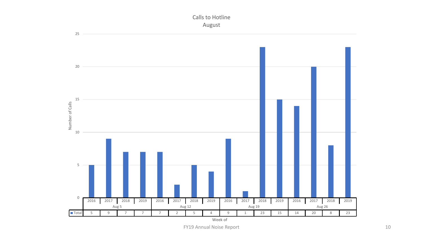

FY19 Annual Noise Report 10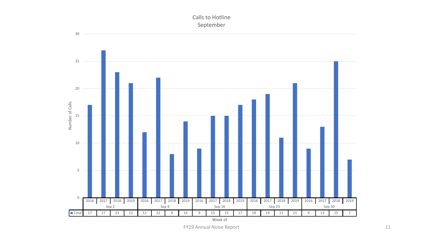# Calls to Hotline September



FY19 Annual Noise Report 11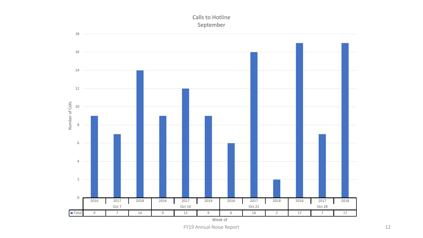# Calls to Hotline September

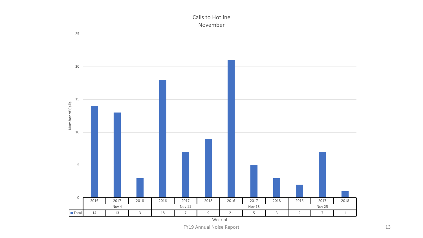

Calls to Hotline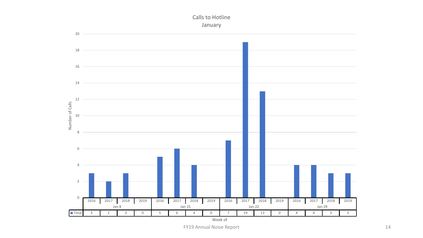# Calls to Hotline January

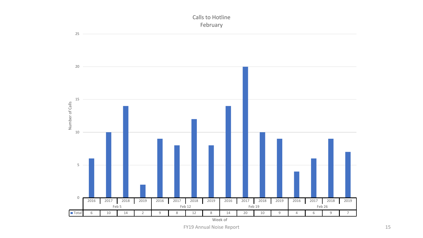

FY19 Annual Noise Report 15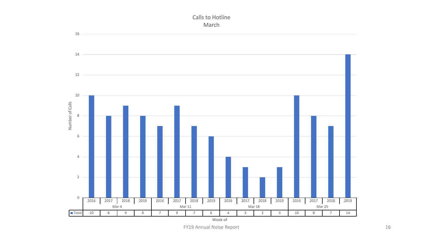![](_page_15_Figure_0.jpeg)

FY19 Annual Noise Report 16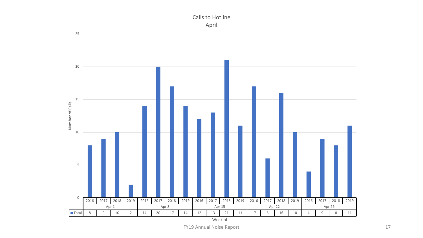![](_page_16_Figure_0.jpeg)

FY19 Annual Noise Report 17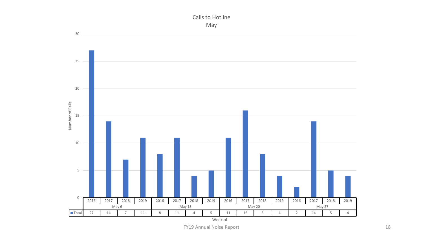![](_page_17_Figure_0.jpeg)

Calls to Hotline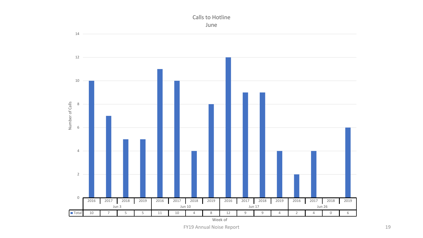![](_page_18_Figure_0.jpeg)

Calls to Hotline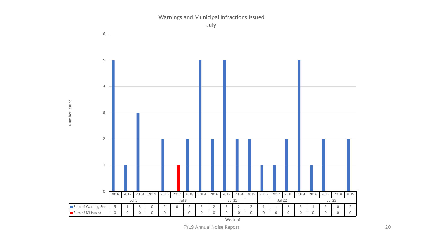![](_page_19_Figure_0.jpeg)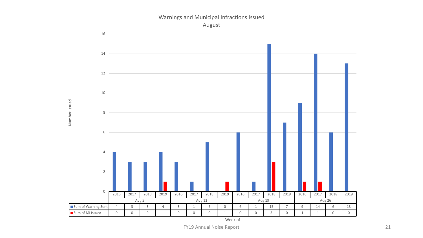#### Warnings and Municipal Infractions Issued August

![](_page_20_Figure_1.jpeg)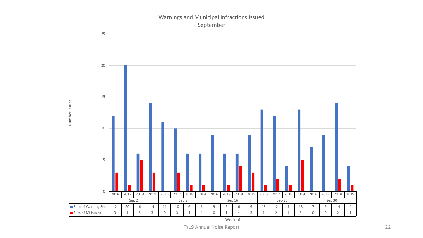#### Warnings and Municipal Infractions Issued September

![](_page_21_Figure_1.jpeg)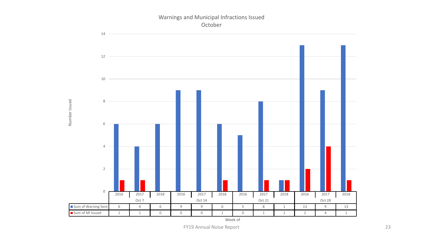#### Warnings and Municipal Infractions Issued October

![](_page_22_Figure_1.jpeg)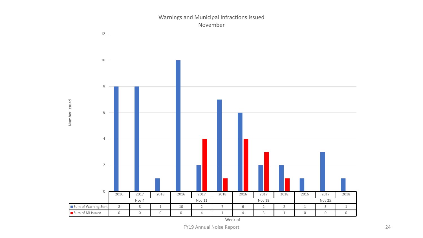#### Warnings and Municipal Infractions Issued November

![](_page_23_Figure_1.jpeg)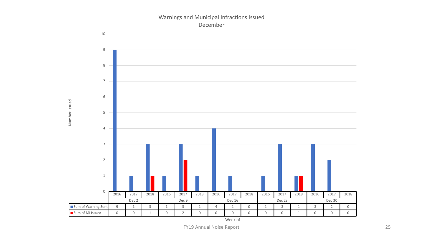# Warnings and Municipal Infractions Issued December

![](_page_24_Figure_1.jpeg)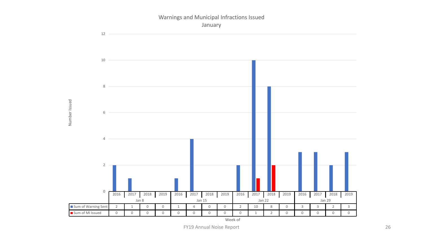# Warnings and Municipal Infractions Issued January

![](_page_25_Figure_1.jpeg)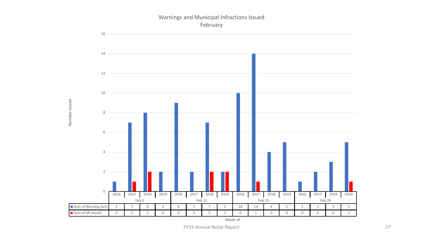# Warnings and Municipal Infractions Issued February

![](_page_26_Figure_1.jpeg)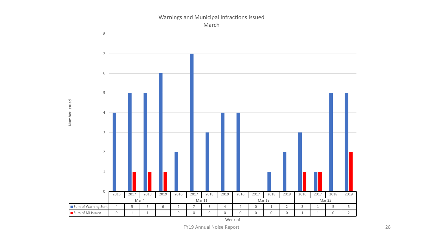#### Warnings and Municipal Infractions Issued March

![](_page_27_Figure_1.jpeg)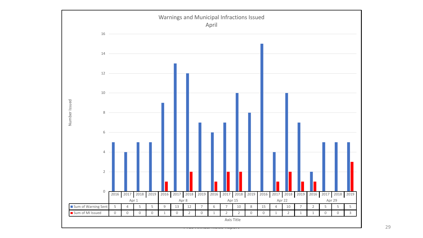![](_page_28_Figure_0.jpeg)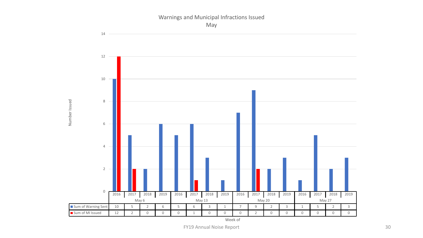# Warnings and Municipal Infractions Issued

![](_page_29_Figure_2.jpeg)